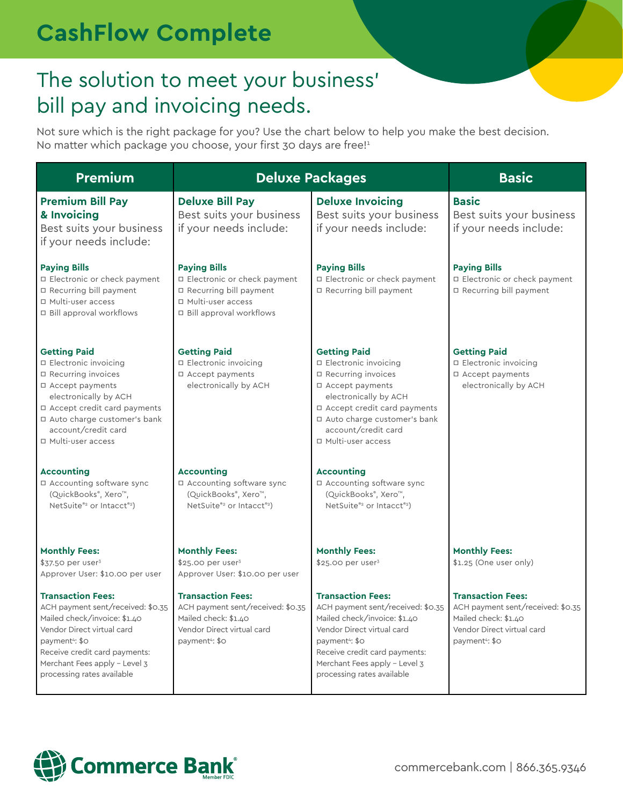# **CashFlow Complete**

### The solution to meet your business' bill pay and invoicing needs.

Not sure which is the right package for you? Use the chart below to help you make the best decision. No matter which package you choose, your first 30 days are free!<sup>1</sup>

| <b>Premium</b>                                                                                                                                                                                                                                            | <b>Deluxe Packages</b>                                                                                                                            |                                                                                                                                                                                                                                                           | <b>Basic</b>                                                                                                                                      |
|-----------------------------------------------------------------------------------------------------------------------------------------------------------------------------------------------------------------------------------------------------------|---------------------------------------------------------------------------------------------------------------------------------------------------|-----------------------------------------------------------------------------------------------------------------------------------------------------------------------------------------------------------------------------------------------------------|---------------------------------------------------------------------------------------------------------------------------------------------------|
| <b>Premium Bill Pay</b><br>& Invoicing<br>Best suits your business<br>if your needs include:                                                                                                                                                              | <b>Deluxe Bill Pay</b><br>Best suits your business<br>if your needs include:                                                                      | <b>Deluxe Invoicing</b><br>Best suits your business<br>if your needs include:                                                                                                                                                                             | <b>Basic</b><br>Best suits your business<br>if your needs include:                                                                                |
| <b>Paying Bills</b><br>□ Electronic or check payment<br>□ Recurring bill payment<br>□ Multi-user access<br>□ Bill approval workflows                                                                                                                      | <b>Paying Bills</b><br>□ Electronic or check payment<br>□ Recurring bill payment<br>□ Multi-user access<br>□ Bill approval workflows              | <b>Paying Bills</b><br>□ Electronic or check payment<br>□ Recurring bill payment                                                                                                                                                                          | <b>Paying Bills</b><br>□ Electronic or check payment<br>□ Recurring bill payment                                                                  |
| <b>Getting Paid</b><br>□ Electronic invoicing<br>□ Recurring invoices<br>□ Accept payments<br>electronically by ACH<br>□ Accept credit card payments<br>□ Auto charge customer's bank<br>account/credit card<br>□ Multi-user access                       | <b>Getting Paid</b><br>□ Electronic invoicing<br>□ Accept payments<br>electronically by ACH                                                       | <b>Getting Paid</b><br>□ Electronic invoicing<br>□ Recurring invoices<br>□ Accept payments<br>electronically by ACH<br>□ Accept credit card payments<br>□ Auto charge customer's bank<br>account/credit card<br>□ Multi-user access                       | <b>Getting Paid</b><br>□ Electronic invoicing<br>□ Accept payments<br>electronically by ACH                                                       |
| <b>Accounting</b><br>□ Accounting software sync<br>(QuickBooks®, Xero™,<br>NetSuite®2 or Intacct®2)                                                                                                                                                       | <b>Accounting</b><br>□ Accounting software sync<br>(QuickBooks®, Xero™,<br>NetSuite®2 or Intacct®2)                                               | <b>Accounting</b><br>□ Accounting software sync<br>(QuickBooks®, Xero™,<br>NetSuite®2 or Intacct®2)                                                                                                                                                       |                                                                                                                                                   |
| <b>Monthly Fees:</b><br>\$37.50 per user <sup>3</sup><br>Approver User: \$10.00 per user                                                                                                                                                                  | <b>Monthly Fees:</b><br>\$25.00 per user <sup>3</sup><br>Approver User: \$10.00 per user                                                          | <b>Monthly Fees:</b><br>\$25.00 per user <sup>3</sup>                                                                                                                                                                                                     | <b>Monthly Fees:</b><br>$$1.25$ (One user only)                                                                                                   |
| <b>Transaction Fees:</b><br>ACH payment sent/received: \$0.35<br>Mailed check/invoice: \$1.40<br>Vendor Direct virtual card<br>payment <sup>4</sup> : \$0<br>Receive credit card payments:<br>Merchant Fees apply - Level 3<br>processing rates available | <b>Transaction Fees:</b><br>ACH payment sent/received: \$0.35<br>Mailed check: \$1.40<br>Vendor Direct virtual card<br>payment <sup>4</sup> : \$0 | <b>Transaction Fees:</b><br>ACH payment sent/received: \$0.35<br>Mailed check/invoice: \$1.40<br>Vendor Direct virtual card<br>payment <sup>4</sup> : \$0<br>Receive credit card payments:<br>Merchant Fees apply - Level 3<br>processing rates available | <b>Transaction Fees:</b><br>ACH payment sent/received: \$0.35<br>Mailed check: \$1.40<br>Vendor Direct virtual card<br>payment <sup>4</sup> : \$0 |